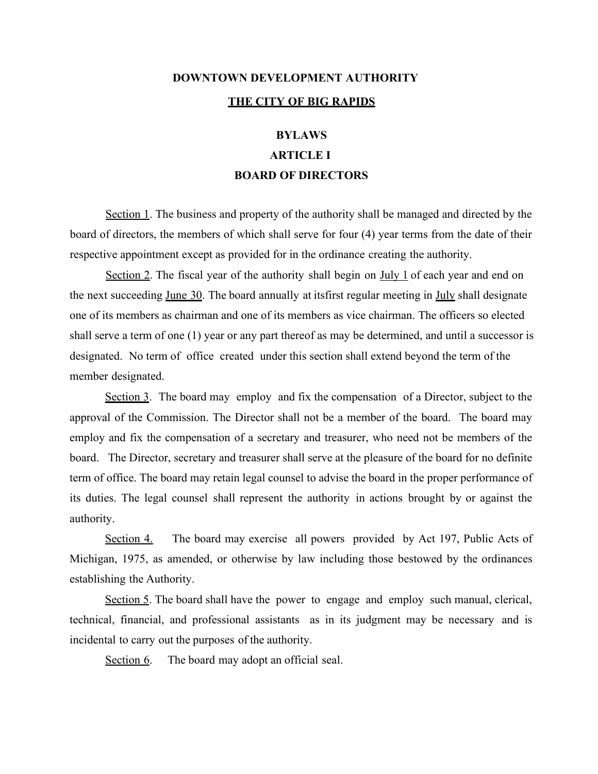# **DOWNTOWN DEVELOPMENT AUTHORITY THE CITY OF BIG RAPIDS**

## **BYLAWS ARTICLE I BOARD OF DIRECTORS**

Section 1. The business and property of the authority shall be managed and directed by the board of directors, the members of which shall serve for four (4) year terms from the date of their respective appointment except as provided for in the ordinance creating the authority.

Section 2. The fiscal year of the authority shall begin on July 1 of each year and end on the next succeeding June 30. The board annually at itsfirst regular meeting in July shall designate one of its members as chairman and one of its members as vice chairman. The officers so elected shall serve a term of one (1) year or any part thereof as may be determined, and until a successor is designated. No term of office created under this section shall extend beyond the term of the member designated.

Section 3. The board may employ and fix the compensation of a Director, subject to the approval of the Commission. The Director shall not be a member of the board. The board may employ and fix the compensation of a secretary and treasurer, who need not be members of the board. The Director, secretary and treasurer shall serve at the pleasure of the board for no definite term of office. The board may retain legal counsel to advise the board in the proper performance of its duties. The legal counsel shall represent the authority in actions brought by or against the authority.

Section 4. The board may exercise all powers provided by Act 197, Public Acts of Michigan, 1975, as amended, or otherwise by law including those bestowed by the ordinances establishing the Authority.

Section 5. The board shall have the power to engage and employ such manual, clerical, technical, financial, and professional assistants as in its judgment may be necessary and is incidental to carry out the purposes of the authority.

Section 6. The board may adopt an official seal.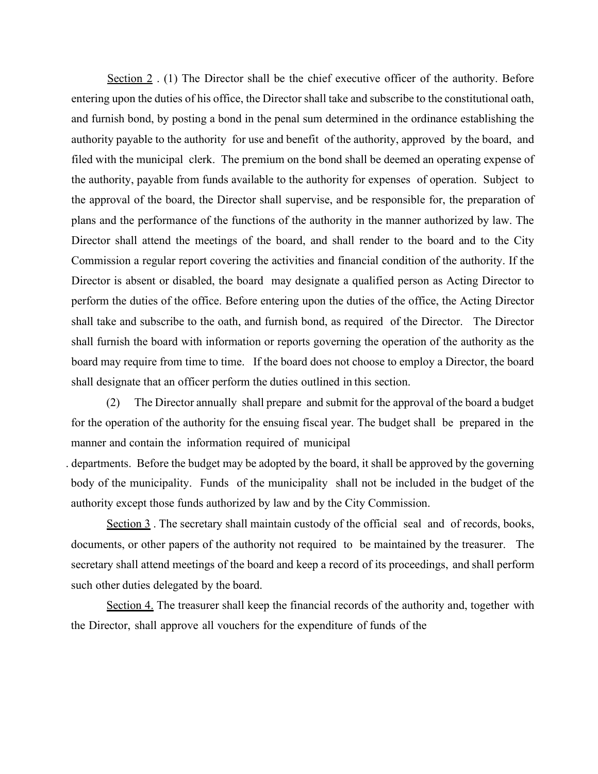Section 2 . (1) The Director shall be the chief executive officer of the authority. Before entering upon the duties of his office, the Director shall take and subscribe to the constitutional oath, and furnish bond, by posting a bond in the penal sum determined in the ordinance establishing the authority payable to the authority for use and benefit of the authority, approved by the board, and filed with the municipal clerk. The premium on the bond shall be deemed an operating expense of the authority, payable from funds available to the authority for expenses of operation. Subject to the approval of the board, the Director shall supervise, and be responsible for, the preparation of plans and the performance of the functions of the authority in the manner authorized by law. The Director shall attend the meetings of the board, and shall render to the board and to the City Commission a regular report covering the activities and financial condition of the authority. If the Director is absent or disabled, the board may designate a qualified person as Acting Director to perform the duties of the office. Before entering upon the duties of the office, the Acting Director shall take and subscribe to the oath, and furnish bond, as required of the Director. The Director shall furnish the board with information or reports governing the operation of the authority as the board may require from time to time. If the board does not choose to employ a Director, the board shall designate that an officer perform the duties outlined in this section.

(2) The Director annually shall prepare and submit for the approval of the board a budget for the operation of the authority for the ensuing fiscal year. The budget shall be prepared in the manner and contain the information required of municipal

. departments. Before the budget may be adopted by the board, it shall be approved by the governing body of the municipality. Funds of the municipality shall not be included in the budget of the authority except those funds authorized by law and by the City Commission.

Section 3. The secretary shall maintain custody of the official seal and of records, books, documents, or other papers of the authority not required to be maintained by the treasurer. The secretary shall attend meetings of the board and keep a record of its proceedings, and shall perform such other duties delegated by the board.

Section 4. The treasurer shall keep the financial records of the authority and, together with the Director, shall approve all vouchers for the expenditure of funds of the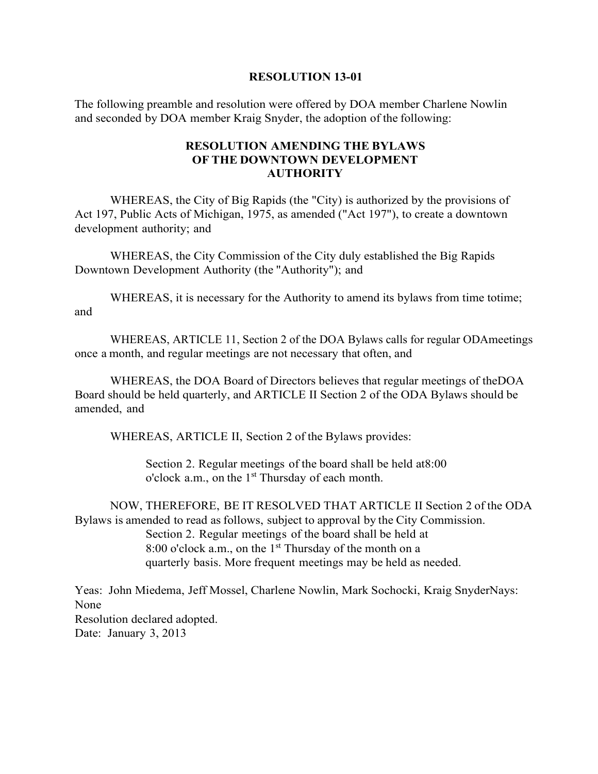#### **RESOLUTION 13-01**

The following preamble and resolution were offered by DOA member Charlene Nowlin and seconded by DOA member Kraig Snyder, the adoption of the following:

## **RESOLUTION AMENDING THE BYLAWS OF THE DOWNTOWN DEVELOPMENT AUTHORITY**

WHEREAS, the City of Big Rapids (the "City) is authorized by the provisions of Act 197, Public Acts of Michigan, 1975, as amended ("Act 197"), to create a downtown development authority; and

WHEREAS, the City Commission of the City duly established the Big Rapids Downtown Development Authority (the "Authority"); and

WHEREAS, it is necessary for the Authority to amend its bylaws from time totime; and

WHEREAS, ARTICLE 11, Section 2 of the DOA Bylaws calls for regular ODAmeetings once a month, and regular meetings are not necessary that often, and

WHEREAS, the DOA Board of Directors believes that regular meetings of theDOA Board should be held quarterly, and ARTICLE II Section 2 of the ODA Bylaws should be amended, and

WHEREAS, ARTICLE II, Section 2 of the Bylaws provides:

Section 2. Regular meetings of the board shall be held at8:00 o'clock a.m., on the 1<sup>st</sup> Thursday of each month.

NOW, THEREFORE, BE IT RESOLVED THAT ARTICLE II Section 2 of the ODA Bylaws is amended to read as follows, subject to approval by the City Commission. Section 2. Regular meetings of the board shall be held at 8:00 o'clock a.m., on the  $1<sup>st</sup>$  Thursday of the month on a quarterly basis. More frequent meetings may be held as needed.

Yeas: John Miedema, Jeff Mossel, Charlene Nowlin, Mark Sochocki, Kraig SnyderNays: None Resolution declared adopted. Date: January 3, 2013